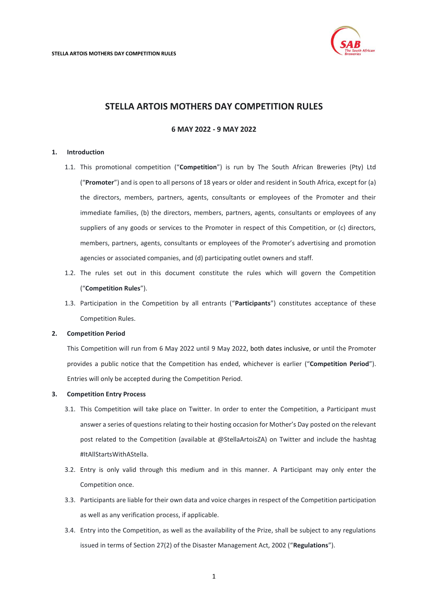

# **STELLA ARTOIS MOTHERS DAY COMPETITION RULES**

# **6 MAY 2022 - 9 MAY 2022**

#### <span id="page-0-0"></span>**1. Introduction**

- 1.1. This promotional competition ("**Competition**") is run by The South African Breweries (Pty) Ltd ("**Promoter**") and is open to all persons of 18 years or older and resident in South Africa, except for (a) the directors, members, partners, agents, consultants or employees of the Promoter and their immediate families, (b) the directors, members, partners, agents, consultants or employees of any suppliers of any goods or services to the Promoter in respect of this Competition, or (c) directors, members, partners, agents, consultants or employees of the Promoter's advertising and promotion agencies or associated companies, and (d) participating outlet owners and staff.
- 1.2. The rules set out in this document constitute the rules which will govern the Competition ("**Competition Rules**").
- 1.3. Participation in the Competition by all entrants ("**Participants**") constitutes acceptance of these Competition Rules.

## **2. Competition Period**

This Competition will run from 6 May 2022 until 9 May 2022, both dates inclusive, or until the Promoter provides a public notice that the Competition has ended, whichever is earlier ("**Competition Period**"). Entries will only be accepted during the Competition Period.

#### **3. Competition Entry Process**

- 3.1. This Competition will take place on Twitter. In order to enter the Competition, a Participant must answer a series of questions relating to their hosting occasion for Mother's Day posted on the relevant post related to the Competition (available at @StellaArtoisZA) on Twitter and include the hashtag #ItAllStartsWithAStella.
- 3.2. Entry is only valid through this medium and in this manner. A Participant may only enter the Competition once.
- 3.3. Participants are liable for their own data and voice charges in respect of the Competition participation as well as any verification process, if applicable.
- 3.4. Entry into the Competition, as well as the availability of the Prize, shall be subject to any regulations issued in terms of Section 27(2) of the Disaster Management Act, 2002 ("**Regulations**").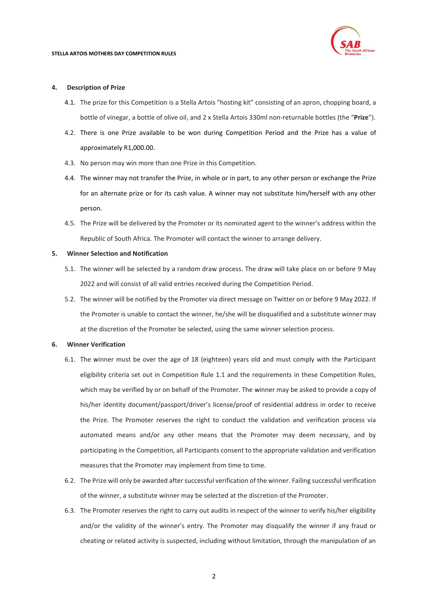

#### **4. Description of Prize**

- 4.1. The prize for this Competition is a Stella Artois "hosting kit" consisting of an apron, chopping board, a bottle of vinegar, a bottle of olive oil, and 2 x Stella Artois 330ml non-returnable bottles (the "**Prize**").
- 4.2. There is one Prize available to be won during Competition Period and the Prize has a value of approximately R1,000.00.
- 4.3. No person may win more than one Prize in this Competition.
- 4.4. The winner may not transfer the Prize, in whole or in part, to any other person or exchange the Prize for an alternate prize or for its cash value. A winner may not substitute him/herself with any other person.
- 4.5. The Prize will be delivered by the Promoter or its nominated agent to the winner's address within the Republic of South Africa. The Promoter will contact the winner to arrange delivery.

#### **5. Winner Selection and Notification**

- 5.1. The winner will be selected by a random draw process. The draw will take place on or before 9 May 2022 and will consist of all valid entries received during the Competition Period.
- 5.2. The winner will be notified by the Promoter via direct message on Twitter on or before 9 May 2022. If the Promoter is unable to contact the winner, he/she will be disqualified and a substitute winner may at the discretion of the Promoter be selected, using the same winner selection process.

### **6. Winner Verification**

- 6.1. The winner must be over the age of 18 (eighteen) years old and must comply with the Participant eligibility criteria set out in Competition Rule [1.1](#page-0-0) and the requirements in these Competition Rules, which may be verified by or on behalf of the Promoter. The winner may be asked to provide a copy of his/her identity document/passport/driver's license/proof of residential address in order to receive the Prize. The Promoter reserves the right to conduct the validation and verification process via automated means and/or any other means that the Promoter may deem necessary, and by participating in the Competition, all Participants consent to the appropriate validation and verification measures that the Promoter may implement from time to time.
- 6.2. The Prize will only be awarded after successful verification of the winner. Failing successful verification of the winner, a substitute winner may be selected at the discretion of the Promoter.
- 6.3. The Promoter reserves the right to carry out audits in respect of the winner to verify his/her eligibility and/or the validity of the winner's entry. The Promoter may disqualify the winner if any fraud or cheating or related activity is suspected, including without limitation, through the manipulation of an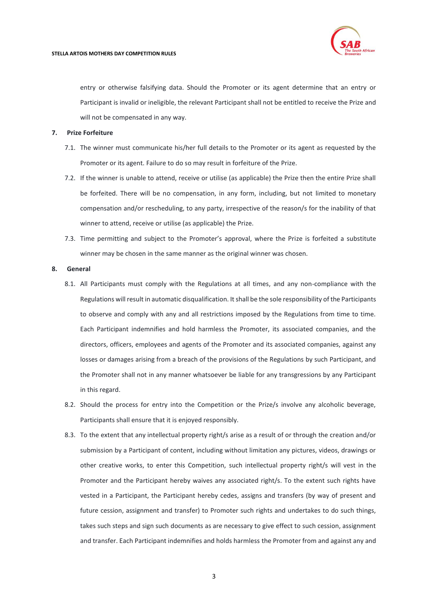

entry or otherwise falsifying data. Should the Promoter or its agent determine that an entry or Participant is invalid or ineligible, the relevant Participant shall not be entitled to receive the Prize and will not be compensated in any way.

#### **7. Prize Forfeiture**

- 7.1. The winner must communicate his/her full details to the Promoter or its agent as requested by the Promoter or its agent. Failure to do so may result in forfeiture of the Prize.
- 7.2. If the winner is unable to attend, receive or utilise (as applicable) the Prize then the entire Prize shall be forfeited. There will be no compensation, in any form, including, but not limited to monetary compensation and/or rescheduling, to any party, irrespective of the reason/s for the inability of that winner to attend, receive or utilise (as applicable) the Prize.
- 7.3. Time permitting and subject to the Promoter's approval, where the Prize is forfeited a substitute winner may be chosen in the same manner as the original winner was chosen.

#### **8. General**

- 8.1. All Participants must comply with the Regulations at all times, and any non-compliance with the Regulations will result in automatic disqualification. It shall be the sole responsibility of the Participants to observe and comply with any and all restrictions imposed by the Regulations from time to time. Each Participant indemnifies and hold harmless the Promoter, its associated companies, and the directors, officers, employees and agents of the Promoter and its associated companies, against any losses or damages arising from a breach of the provisions of the Regulations by such Participant, and the Promoter shall not in any manner whatsoever be liable for any transgressions by any Participant in this regard.
- 8.2. Should the process for entry into the Competition or the Prize/s involve any alcoholic beverage, Participants shall ensure that it is enjoyed responsibly.
- 8.3. To the extent that any intellectual property right/s arise as a result of or through the creation and/or submission by a Participant of content, including without limitation any pictures, videos, drawings or other creative works, to enter this Competition, such intellectual property right/s will vest in the Promoter and the Participant hereby waives any associated right/s. To the extent such rights have vested in a Participant, the Participant hereby cedes, assigns and transfers (by way of present and future cession, assignment and transfer) to Promoter such rights and undertakes to do such things, takes such steps and sign such documents as are necessary to give effect to such cession, assignment and transfer. Each Participant indemnifies and holds harmless the Promoter from and against any and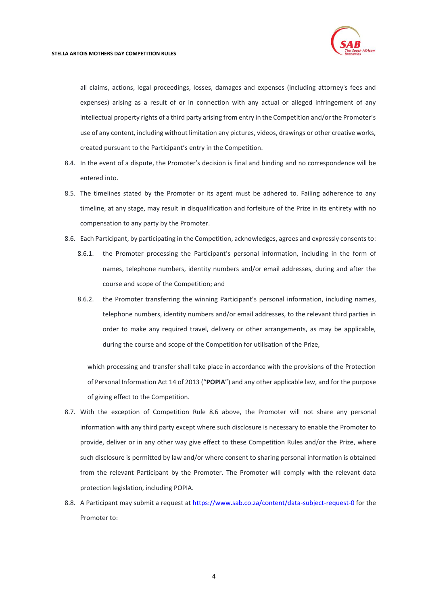

all claims, actions, legal proceedings, losses, damages and expenses (including attorney's fees and expenses) arising as a result of or in connection with any actual or alleged infringement of any intellectual property rights of a third party arising from entry in the Competition and/or the Promoter's use of any content, including without limitation any pictures, videos, drawings or other creative works, created pursuant to the Participant's entry in the Competition.

- 8.4. In the event of a dispute, the Promoter's decision is final and binding and no correspondence will be entered into.
- 8.5. The timelines stated by the Promoter or its agent must be adhered to. Failing adherence to any timeline, at any stage, may result in disqualification and forfeiture of the Prize in its entirety with no compensation to any party by the Promoter.
- <span id="page-3-0"></span>8.6. Each Participant, by participating in the Competition, acknowledges, agrees and expressly consents to:
	- 8.6.1. the Promoter processing the Participant's personal information, including in the form of names, telephone numbers, identity numbers and/or email addresses, during and after the course and scope of the Competition; and
	- 8.6.2. the Promoter transferring the winning Participant's personal information, including names, telephone numbers, identity numbers and/or email addresses, to the relevant third parties in order to make any required travel, delivery or other arrangements, as may be applicable, during the course and scope of the Competition for utilisation of the Prize,

which processing and transfer shall take place in accordance with the provisions of the Protection of Personal Information Act 14 of 2013 ("**POPIA**") and any other applicable law, and for the purpose of giving effect to the Competition.

- 8.7. With the exception of Competition Rule [8.6](#page-3-0) above, the Promoter will not share any personal information with any third party except where such disclosure is necessary to enable the Promoter to provide, deliver or in any other way give effect to these Competition Rules and/or the Prize, where such disclosure is permitted by law and/or where consent to sharing personal information is obtained from the relevant Participant by the Promoter. The Promoter will comply with the relevant data protection legislation, including POPIA.
- 8.8. A Participant may submit a request at<https://www.sab.co.za/content/data-subject-request-0> for the Promoter to: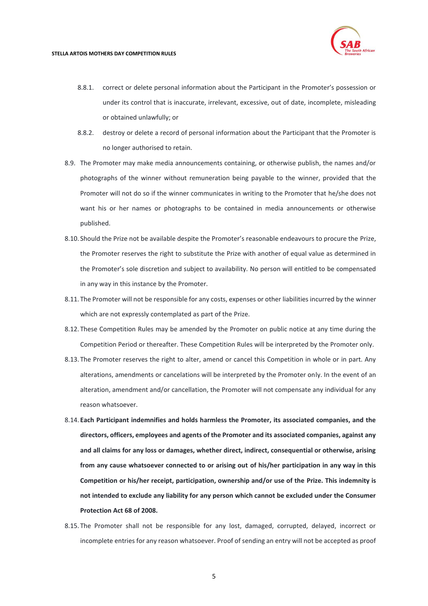

- 8.8.1. correct or delete personal information about the Participant in the Promoter's possession or under its control that is inaccurate, irrelevant, excessive, out of date, incomplete, misleading or obtained unlawfully; or
- 8.8.2. destroy or delete a record of personal information about the Participant that the Promoter is no longer authorised to retain.
- 8.9. The Promoter may make media announcements containing, or otherwise publish, the names and/or photographs of the winner without remuneration being payable to the winner, provided that the Promoter will not do so if the winner communicates in writing to the Promoter that he/she does not want his or her names or photographs to be contained in media announcements or otherwise published.
- 8.10. Should the Prize not be available despite the Promoter's reasonable endeavours to procure the Prize, the Promoter reserves the right to substitute the Prize with another of equal value as determined in the Promoter's sole discretion and subject to availability. No person will entitled to be compensated in any way in this instance by the Promoter.
- 8.11. The Promoter will not be responsible for any costs, expenses or other liabilities incurred by the winner which are not expressly contemplated as part of the Prize.
- 8.12. These Competition Rules may be amended by the Promoter on public notice at any time during the Competition Period or thereafter. These Competition Rules will be interpreted by the Promoter only.
- 8.13. The Promoter reserves the right to alter, amend or cancel this Competition in whole or in part. Any alterations, amendments or cancelations will be interpreted by the Promoter only. In the event of an alteration, amendment and/or cancellation, the Promoter will not compensate any individual for any reason whatsoever.
- 8.14. **Each Participant indemnifies and holds harmless the Promoter, its associated companies, and the directors, officers, employees and agents of the Promoter and its associated companies, against any and all claims for any loss or damages, whether direct, indirect, consequential or otherwise, arising from any cause whatsoever connected to or arising out of his/her participation in any way in this Competition or his/her receipt, participation, ownership and/or use of the Prize. This indemnity is not intended to exclude any liability for any person which cannot be excluded under the Consumer Protection Act 68 of 2008.**
- 8.15. The Promoter shall not be responsible for any lost, damaged, corrupted, delayed, incorrect or incomplete entries for any reason whatsoever. Proof of sending an entry will not be accepted as proof